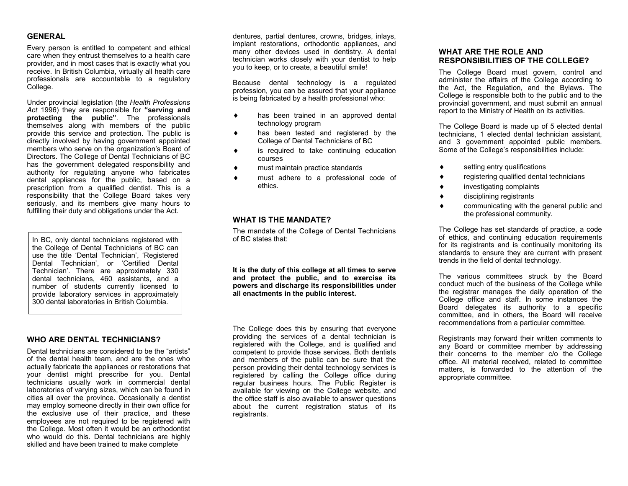#### **GENERAL**

Every person is entitled to competent and ethical care when they entrust themselves to a health care provider, and in most cases that is exactly what you receive. In British Columbia, virtually all health care professionals are accountable to a regulatory College.

Under provincial legislation (the *Health Professions Act* 1996) they are responsible for **"serving and protecting the public"**. The professionals themselves along with members of the public provide this service and protection. The public is directly involved by having government appointed members who serve on the organization's Board of Directors. The College of Dental Technicians of BC has the government delegated responsibility and authority for regulating anyone who fabricates dental appliances for the public, based on a prescription from a qualified dentist. This is a responsibility that the College Board takes very seriously, and its members give many hours to fulfilling their duty and obligations under the Act.

In BC, only dental technicians registered with the College of Dental Technicians of BC can use the title 'Dental Technician', 'Registered Dental Technician', or 'Certified Dental Technician'. There are approximately 330 dental technicians, 460 assistants, and a number of students currently licensed to provide laboratory services in approximately 300 dental laboratories in British Columbia.

#### **WHO ARE DENTAL TECHNICIANS?**

Dental technicians are considered to be the "artists" of the dental health team, and are the ones who actually fabricate the appliances or restorations that your dentist might prescribe for you. Dental technicians usually work in commercial dental laboratories of varying sizes, which can be found in cities all over the province. Occasionally a dentist may employ someone directly in their own office for the exclusive use of their practice, and these employees are not required to be registered with the College. Most often it would be an orthodontist who would do this. Dental technicians are highly skilled and have been trained to make complete

dentures, partial dentures, crowns, bridges, inlays, implant restorations, orthodontic appliances, and many other devices used in dentistry. A dental technician works closely with your dentist to help you to keep, or to create, a beautiful smile!

Because dental technology is a regulated profession, you can be assured that your appliance is being fabricated by a health professional who:

- has been trained in an approved dental technology program
- has been tested and registered by the College of Dental Technicians of BC
- is required to take continuing education courses
- must maintain practice standards
- must adhere to a professional code of ethics.

# **WHAT IS THE MANDATE?**

The mandate of the College of Dental Technicians of BC states that:

**It is the duty of this college at all times to serve and protect the public, and to exercise its powers and discharge its responsibilities under all enactments in the public interest.** 

The College does this by ensuring that everyone providing the services of a dental technician is registered with the College, and is qualified and competent to provide those services. Both dentists and members of the public can be sure that the person providing their dental technology services is registered by calling the College office during regular business hours. The Public Register is available for viewing on the College website, and the office staff is also available to answer questions about the current registration status of its registrants.

## **WHAT ARE THE ROLE AND RESPONSIBILITIES OF THE COLLEGE?**

The College Board must govern, control and administer the affairs of the College according to the Act, the Regulation, and the Bylaws. The College is responsible both to the public and to the provincial government, and must submit an annual report to the Ministry of Health on its activities.

The College Board is made up of 5 elected dental technicians, 1 elected dental technician assistant, and 3 government appointed public members. Some of the College's responsibilities include:

- ◆ setting entry qualifications
- registering qualified dental technicians
- investigating complaints
- disciplining registrants
- communicating with the general public and the professional community.

The College has set standards of practice, a code of ethics, and continuing education requirements for its registrants and is continually monitoring its standards to ensure they are current with present trends in the field of dental technology.

The various committees struck by the Board conduct much of the business of the College while the registrar manages the daily operation of the College office and staff. In some instances the Board delegates its authority to a specific committee, and in others, the Board will receive recommendations from a particular committee.

Registrants may forward their written comments to any Board or committee member by addressing their concerns to the member c/o the College office. All material received, related to committee matters, is forwarded to the attention of the appropriate committee.